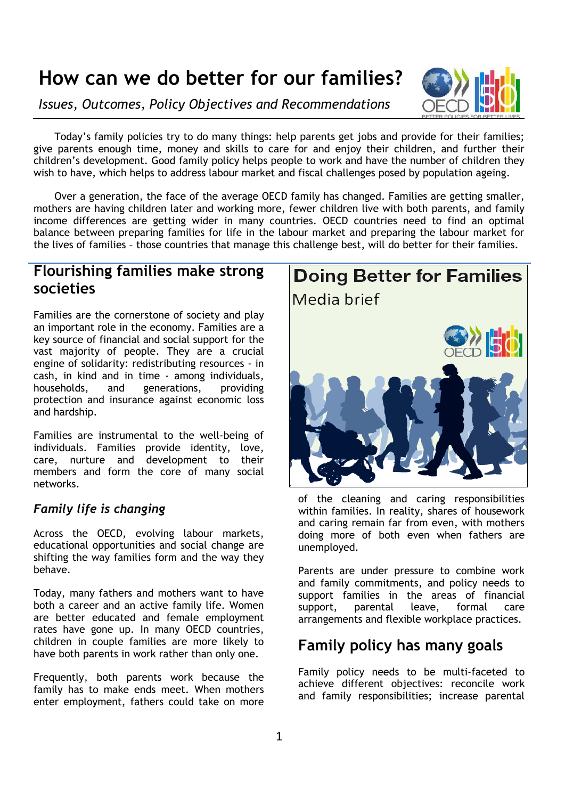# **How can we do better for our families?**

*Issues, Outcomes, Policy Objectives and Recommendations* 



Today"s family policies try to do many things: help parents get jobs and provide for their families; give parents enough time, money and skills to care for and enjoy their children, and further their children"s development. Good family policy helps people to work and have the number of children they wish to have, which helps to address labour market and fiscal challenges posed by population ageing.

Over a generation, the face of the average OECD family has changed. Families are getting smaller, mothers are having children later and working more, fewer children live with both parents, and family income differences are getting wider in many countries. OECD countries need to find an optimal balance between preparing families for life in the labour market and preparing the labour market for the lives of families – those countries that manage this challenge best, will do better for their families.

## **Flourishing families make strong societies**

Families are the cornerstone of society and play an important role in the economy. Families are a key source of financial and social support for the vast majority of people. They are a crucial engine of solidarity: redistributing resources - in cash, in kind and in time - among individuals, households, and generations, providing protection and insurance against economic loss and hardship.

Families are instrumental to the well-being of individuals. Families provide identity, love, care, nurture and development to their members and form the core of many social networks.

### *Family life is changing*

Across the OECD, evolving labour markets, educational opportunities and social change are shifting the way families form and the way they behave.

Today, many fathers and mothers want to have both a career and an active family life. Women are better educated and female employment rates have gone up. In many OECD countries, children in couple families are more likely to have both parents in work rather than only one.

Frequently, both parents work because the family has to make ends meet. When mothers enter employment, fathers could take on more



of the cleaning and caring responsibilities within families. In reality, shares of housework and caring remain far from even, with mothers doing more of both even when fathers are unemployed.

Parents are under pressure to combine work and family commitments, and policy needs to support families in the areas of financial support, parental leave, formal care arrangements and flexible workplace practices.

# **Family policy has many goals**

Family policy needs to be multi-faceted to achieve different objectives: reconcile work and family responsibilities; increase parental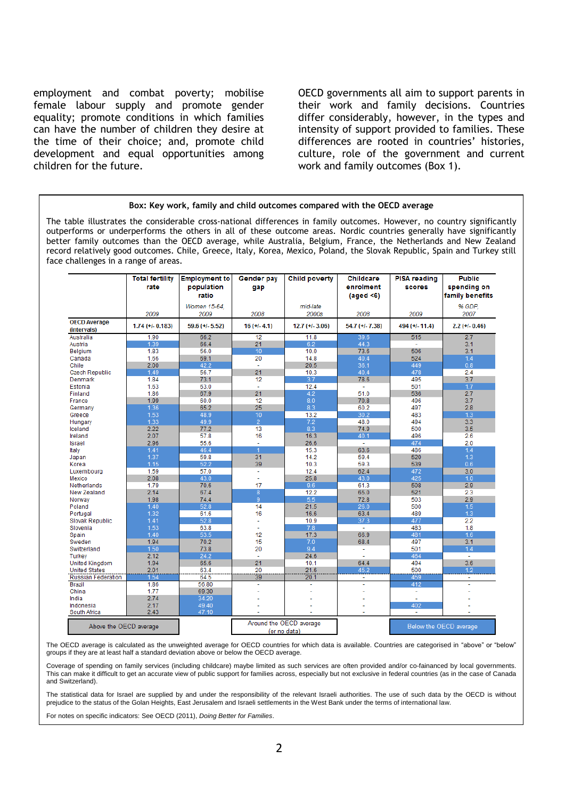employment and combat poverty; mobilise female labour supply and promote gender equality; promote conditions in which families can have the number of children they desire at the time of their choice; and, promote child development and equal opportunities among children for the future.

OECD governments all aim to support parents in their work and family decisions. Countries differ considerably, however, in the types and intensity of support provided to families. These differences are rooted in countries' histories. culture, role of the government and current work and family outcomes (Box 1).

#### **Box: Key work, family and child outcomes compared with the OECD average**

The table illustrates the considerable cross-national differences in family outcomes. However, no country significantly outperforms or underperforms the others in all of these outcome areas. Nordic countries generally have significantly better family outcomes than the OECD average, while Australia, Belgium, France, the Netherlands and New Zealand record relatively good outcomes. Chile, Greece, Italy, Korea, Mexico, Poland, the Slovak Republic, Spain and Turkey still face challenges in a range of areas.

|                                    | <b>Total fertility</b><br>rate | <b>Employment to</b><br>population<br>ratio | <b>Gender pay</b><br>gap                | <b>Child poverty</b> | <b>Childcare</b><br>enrolment<br>(aged $\leq 6$ ) | <b>PISA reading</b><br>scores | <b>Public</b><br>spending on<br>family benefits |
|------------------------------------|--------------------------------|---------------------------------------------|-----------------------------------------|----------------------|---------------------------------------------------|-------------------------------|-------------------------------------------------|
|                                    |                                | Women 15-64.                                |                                         | mid-late             |                                                   |                               | % GDP.                                          |
|                                    | 2009                           | 2009                                        | 2008                                    | 2000s                | 2008                                              | 2009                          | 2007                                            |
| <b>OECD Average</b><br>(intervals) | $1.74$ (+/- 0.183)             | $59.6$ (+/- $5.52$ )                        | $16 (+1.4.1)$                           | $12.7$ (+/- 3.06)    | $54.7$ (+/- $7.38$ )                              | 494 (+/- 11.4)                | $2.2 (+1.0.46)$                                 |
| Australia                          | 1.90                           | 66.2                                        | 12                                      | 11.8                 | 39.6                                              | 515                           | 2.7                                             |
| Austria                            | 1.39                           | 66.4                                        | 21                                      | 6.2                  | 44.3                                              | $\sim$                        | 3.1                                             |
| Belgium                            | 1.83                           | 56.0                                        | 10                                      | 10.0                 | 73.6                                              | 506                           | 3.1                                             |
| Canada                             | 1.66                           | 69.1                                        | 20                                      | 14.8                 | 40.4                                              | 524                           | 1.4                                             |
| Chile                              | 2.00                           | 42.2                                        | $\omega$                                | 20.5                 | 36.1                                              | 449                           | 0.8                                             |
| <b>Czech Republic</b>              | 1.49                           | 56.7                                        | 21                                      | 10.3                 | 40.4                                              | 478                           | 2.4                                             |
| Denmark                            | 1.84                           | 73.1                                        | 12                                      | 3.7                  | 78.6                                              | 495                           | 3.7                                             |
| Estonia                            | 1.63                           | 63.0                                        | ٠                                       | 12.4                 | ÷                                                 | 501                           | 1.7                                             |
| Finland                            | 1.86                           | 67.9                                        | 21                                      | 4.2                  | 51.0                                              | 536                           | 2.7                                             |
| France                             | 1.99                           | 60.0                                        | 12                                      | 8.0                  | 70.8                                              | 496                           | 3.7                                             |
| Germany                            | 1.36                           | 65.2                                        | 25                                      | 8.3                  | 60.2                                              | 497                           | 2.8                                             |
| Greece                             | 1.53                           | 48.9                                        | 10                                      | 13.2                 | 30.2                                              | 483                           | 1.3                                             |
| Hungary                            | 1.33                           | 49.9                                        | $\overline{2}$                          | 7.2                  | 48.0                                              | 494                           | 3.3                                             |
| Iceland                            | 2.22                           | 77.2                                        | 13                                      | 8.3                  | 74.9                                              | 500                           | 3.5                                             |
| Ireland                            | 2.07                           | 57.8                                        | 16                                      | 16.3                 | 40.1                                              | 496                           | 2.6                                             |
| Israel                             | 2.96                           | 55.6                                        | ä,                                      | 26.6                 | $\sim$                                            | 474                           | 2.0                                             |
| Italy                              | 1.41                           | 46.4                                        | 1                                       | 15.3                 | 63.6                                              | 486                           | 1.4                                             |
| Japan                              | 1.37                           | 59.8                                        | 31                                      | 14.2                 | 59.4                                              | 520                           | 1.3                                             |
| Korea                              | 1.15                           | 52.2                                        | 39                                      | 10.3                 | 59.3                                              | 539                           | 0.6                                             |
| Luxembourg                         | 1.59                           | 57.0                                        | ä,                                      | 12.4                 | 62.4                                              | 472                           | 3.0                                             |
| Mexico                             | 2.08                           | 43.0                                        | ä,                                      | 25.8                 | 43.0                                              | 425                           | 1.0                                             |
| Netherlands                        | 1.79                           | 70.6                                        | 17                                      | 9.6                  | 61.3                                              | 508                           | 2.9                                             |
| New Zealand                        | 2.14                           | 67.4                                        | 8                                       | 12.2                 | 65.0                                              | 521                           | 2.3                                             |
| Norway                             | 1.98                           | 74.4                                        | $\overline{9}$                          | 5.5                  | 72.8                                              | 503                           | 2.9                                             |
| Poland                             | 1.40                           | 52.8                                        | 14                                      | 21.5                 | 26.0                                              | 500                           | 1.5                                             |
| Portugal                           | 1.32                           | 61.6                                        | 16                                      | 16.6                 | 63.4                                              | 489                           | 1.3                                             |
| <b>Slovak Republic</b>             | 1.41                           | 52.8                                        | ä,                                      | 10.9                 | 37.3                                              | 477                           | 2.2                                             |
| Slovenia                           | 1.53                           | 63.8                                        | ÷.                                      | 7.8                  | ÷.                                                | 483                           | 1.8                                             |
| Spain                              | 1.40                           | 53.5                                        | 12                                      | 17.3                 | 66.9                                              | 481                           | 1.6                                             |
| Sweden                             | 1.94                           | 70.2                                        | 15                                      | 7.0                  | 68.4                                              | 497                           | 3.1                                             |
| Switzerland                        | 1.50                           | 73.8                                        | 20                                      | 9.4                  | $\sim$                                            | 501                           | 1.4                                             |
| <b>Turkey</b>                      | 2.12                           | 24.2                                        | ä,                                      | 24.6                 |                                                   | 464                           | ÷.                                              |
| <b>United Kingdom</b>              | 1.94                           | 65.6                                        | 21                                      | 10.1                 | 64.4                                              | 494                           | 3.6                                             |
| <b>United States</b>               | $\frac{2.01}{1.54}$            | 63.4                                        | 20                                      | 21.6                 | 45.2                                              | 500                           | 1.2                                             |
| Russian Federation                 |                                | 64.5                                        | 39                                      | 20.1                 | $\tilde{\phantom{a}}$                             | 459                           | $\overline{\phantom{a}}$                        |
| Brazil                             | 1.86                           | 56.80                                       | ÷.                                      |                      | $\overline{\phantom{a}}$                          | 412                           | ÷.                                              |
| China                              | 1.77                           | 69.30                                       |                                         |                      |                                                   | $\tilde{\phantom{a}}$         |                                                 |
| India                              | 2.74                           | 34.20                                       |                                         |                      |                                                   | ÷.                            |                                                 |
| Indonesia                          | 2.17                           | 49.40                                       |                                         |                      |                                                   | 402                           |                                                 |
| South Africa                       | 2.43                           | 47.10                                       |                                         |                      | ٠                                                 | $\omega$                      |                                                 |
| Above the OECD average             |                                |                                             | Around the OECD average<br>(or no data) |                      |                                                   | Below the OECD average        |                                                 |

The OECD average is calculated as the unweighted average for OECD countries for which data is available. Countries are categorised in "above" or "below" groups if they are at least half a standard deviation above or below the OECD average.

Coverage of spending on family services (including childcare) maybe limited as such services are often provided and/or co-fainanced by local governments. This can make it difficult to get an accurate view of public support for families across, especially but not exclusive in federal countries (as in the case of Canada and Switzerland).

The statistical data for Israel are supplied by and under the responsibility of the relevant Israeli authorities. The use of such data by the OECD is without prejudice to the status of the Golan Heights, East Jerusalem and Israeli settlements in the West Bank under the terms of international law.

For notes on specific indicators: See OECD (2011), *Doing Better for Families*.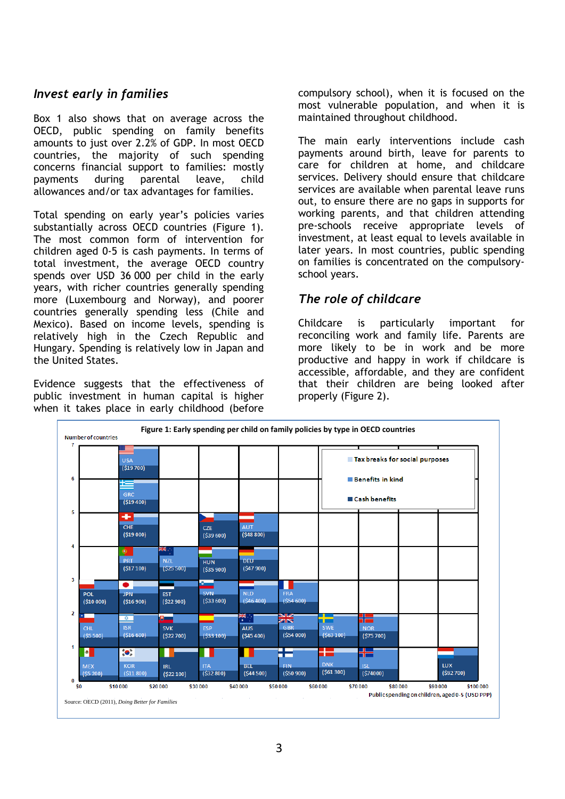### *Invest early in families*

Box 1 also shows that on average across the OECD, public spending on family benefits amounts to just over 2.2% of GDP. In most OECD countries, the majority of such spending concerns financial support to families: mostly payments during parental leave, child allowances and/or tax advantages for families.

Total spending on early year"s policies varies substantially across OECD countries (Figure 1). The most common form of intervention for children aged 0-5 is cash payments. In terms of total investment, the average OECD country spends over USD 36 000 per child in the early years, with richer countries generally spending more (Luxembourg and Norway), and poorer countries generally spending less (Chile and Mexico). Based on income levels, spending is relatively high in the Czech Republic and Hungary. Spending is relatively low in Japan and the United States.

Evidence suggests that the effectiveness of public investment in human capital is higher when it takes place in early childhood (before

compulsory school), when it is focused on the most vulnerable population, and when it is maintained throughout childhood.

The main early interventions include cash payments around birth, leave for parents to care for children at home, and childcare services. Delivery should ensure that childcare services are available when parental leave runs out, to ensure there are no gaps in supports for working parents, and that children attending pre-schools receive appropriate levels of investment, at least equal to levels available in later years. In most countries, public spending on families is concentrated on the compulsoryschool years.

### *The role of childcare*

Childcare is particularly important for reconciling work and family life. Parents are more likely to be in work and be more productive and happy in work if childcare is accessible, affordable, and they are confident that their children are being looked after properly (Figure 2).

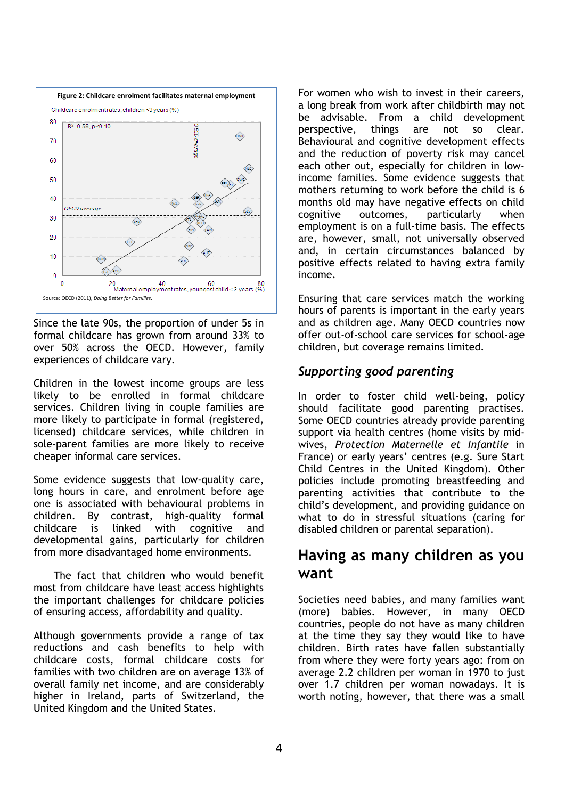

Since the late 90s, the proportion of under 5s in formal childcare has grown from around 33% to over 50% across the OECD. However, family experiences of childcare vary.

Children in the lowest income groups are less likely to be enrolled in formal childcare services. Children living in couple families are more likely to participate in formal (registered, licensed) childcare services, while children in sole-parent families are more likely to receive cheaper informal care services.

Some evidence suggests that low-quality care, long hours in care, and enrolment before age one is associated with behavioural problems in children. By contrast, high-quality formal childcare is linked with [cognitive and](http://www.child-encyclopedia.com/Pages/PDF/Peisner-FeinbergANGxp.pdf)  [developmental gains,](http://www.child-encyclopedia.com/Pages/PDF/Peisner-FeinbergANGxp.pdf) particularly for children from more disadvantaged home environments.

The fact that children who would benefit most from childcare have least access highlights the important challenges for childcare policies of ensuring access, affordability and quality.

Although governments provide a range of tax reductions and cash benefits to help with childcare costs, formal childcare costs for families with two children are on average 13% of overall family net income, and are considerably higher in Ireland, parts of Switzerland, the United Kingdom and the United States.

For women who wish to invest in their careers, a long break from work after childbirth may not be advisable. From a child development perspective, things are not so clear. Behavioural and cognitive development effects and the reduction of poverty risk may cancel each other out, especially for children in lowincome families. Some evidence suggests that mothers returning to work before the child is 6 months old may have negative effects on child cognitive outcomes, particularly when employment is on a full-time basis. The effects are, however, small, not universally observed and, in certain circumstances balanced by positive effects related to having extra family income.

Ensuring that care services match the working hours of parents is important in the early years and as children age. Many OECD countries now offer out-of-school care services for school-age children, but coverage remains limited.

## *Supporting good parenting*

In order to foster child well-being, policy should facilitate good parenting practises. Some OECD countries already provide parenting support via health centres (home visits by midwives, *Protection Maternelle et Infantile* in France) or early years' centres (e.g. Sure Start Child Centres in the United Kingdom). Other policies include promoting breastfeeding and parenting activities that contribute to the child"s development, and providing guidance on what to do in stressful situations (caring for disabled children or parental separation).

## **Having as many children as you want**

Societies need babies, and many families want (more) babies. However, in many OECD countries, people do not have as many children at the time they say they would like to have children. Birth rates have fallen substantially from where they were forty years ago: from on average 2.2 children per woman in 1970 to just over 1.7 children per woman nowadays. It is worth noting, however, that there was a small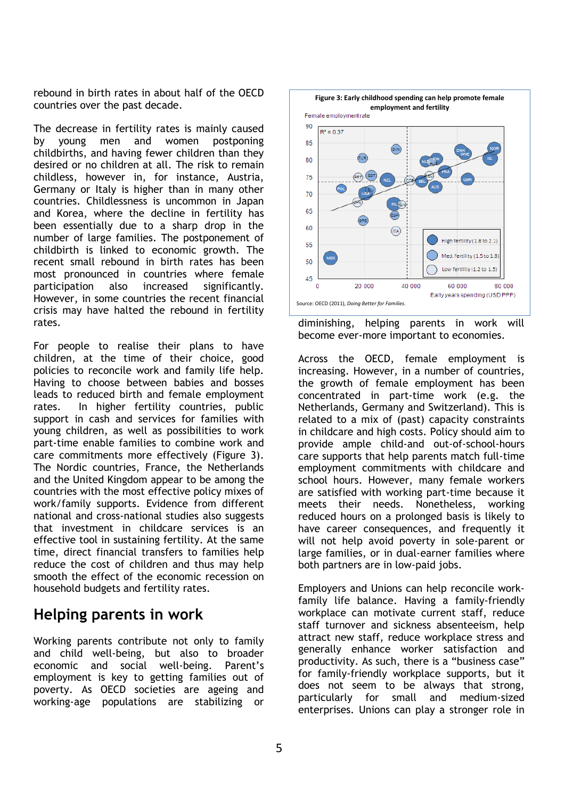rebound in birth rates in about half of the OECD countries over the past decade.

The decrease in fertility rates is mainly caused by young men and women postponing childbirths, and having fewer children than they desired or no children at all. The risk to remain childless, however in, for instance, Austria, Germany or Italy is higher than in many other countries. Childlessness is uncommon in Japan and Korea, where the decline in fertility has been essentially due to a sharp drop in the number of large families. The postponement of childbirth is linked to economic growth. The recent small rebound in birth rates has been most pronounced in countries where female participation also increased significantly. However, in some countries the recent financial crisis may have halted the rebound in fertility rates.

For people to realise their plans to have children, at the time of their choice, good policies to reconcile work and family life help. Having to choose between babies and bosses leads to reduced birth and female employment rates. In higher fertility countries, public support in cash and services for families with young children, as well as possibilities to work part-time enable families to combine work and care commitments more effectively (Figure 3). The Nordic countries, France, the Netherlands and the United Kingdom appear to be among the countries with the most effective policy mixes of work/family supports. Evidence from different national and cross-national studies also suggests that investment in childcare services is an effective tool in sustaining fertility. At the same time, direct financial transfers to families help reduce the cost of children and thus may help smooth the effect of the economic recession on household budgets and fertility rates.

## **Helping parents in work**

Working parents contribute not only to family and child well-being, but also to broader economic and social well-being. Parent"s employment is key to getting families out of poverty. As OECD societies are ageing and working-age populations are stabilizing or



diminishing, helping parents in work will become ever-more important to economies.

Across the OECD, female employment is increasing. However, in a number of countries, the growth of female employment has been concentrated in part-time work (e.g. the Netherlands, Germany and Switzerland). This is related to a mix of (past) capacity constraints in childcare and high costs. Policy should aim to provide ample child-and out-of-school-hours care supports that help parents match full-time employment commitments with childcare and school hours. However, many female workers are satisfied with working part-time because it meets their needs. Nonetheless, working reduced hours on a prolonged basis is likely to have career consequences, and frequently it will not help avoid poverty in sole-parent or large families, or in dual-earner families where both partners are in low-paid jobs.

Employers and Unions can help reconcile workfamily life balance. Having a family-friendly workplace can motivate current staff, reduce staff turnover and sickness absenteeism, help attract new staff, reduce workplace stress and generally enhance worker satisfaction and productivity. As such, there is a "business case" for family-friendly workplace supports, but it does not seem to be always that strong, particularly for small and medium-sized enterprises. Unions can play a stronger role in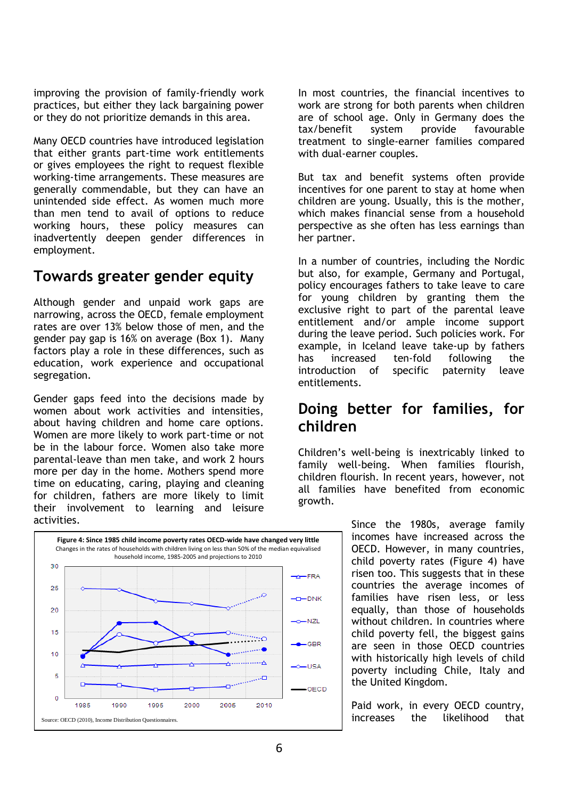improving the provision of family-friendly work practices, but either they lack bargaining power or they do not prioritize demands in this area.

Many OECD countries have introduced legislation that either grants part-time work entitlements or gives employees the right to request flexible working-time arrangements. These measures are generally commendable, but they can have an unintended side effect. As women much more than men tend to avail of options to reduce working hours, these policy measures can inadvertently deepen gender differences in employment.

## **Towards greater gender equity**

Although gender and unpaid work gaps are narrowing, across the OECD, female employment rates are over 13% below those of men, and the gender pay gap is 16% on average (Box 1). Many factors play a role in these differences, such as education, work experience and occupational segregation.

Gender gaps feed into the decisions made by women about work activities and intensities, about having children and home care options. Women are more likely to work part-time or not be in the labour force. Women also take more parental-leave than men take, and work 2 hours more per day in the home. Mothers spend more time on educating, caring, playing and cleaning for children, fathers are more likely to limit their involvement to learning and leisure activities.



In most countries, the financial incentives to work are strong for both parents when children are of school age. Only in Germany does the tax/benefit system provide favourable treatment to single-earner families compared with dual-earner couples.

But tax and benefit systems often provide incentives for one parent to stay at home when children are young. Usually, this is the mother, which makes financial sense from a household perspective as she often has less earnings than her partner.

In a number of countries, including the Nordic but also, for example, Germany and Portugal, policy encourages fathers to take leave to care for young children by granting them the exclusive right to part of the parental leave entitlement and/or ample income support during the leave period. Such policies work. For example, in Iceland leave take-up by fathers has increased ten-fold following the introduction of specific paternity leave entitlements.

## **Doing better for families, for children**

Children"s well-being is inextricably linked to family well-being. When families flourish, children flourish. In recent years, however, not all families have benefited from economic growth.

> Since the 1980s, average family incomes have increased across the OECD. However, in many countries, child poverty rates (Figure 4) have risen too. This suggests that in these countries the average incomes of families have risen less, or less equally, than those of households without children. In countries where child poverty fell, the biggest gains are seen in those OECD countries with historically high levels of child poverty including Chile, Italy and the United Kingdom.

> Paid work, in every OECD country, increases the likelihood that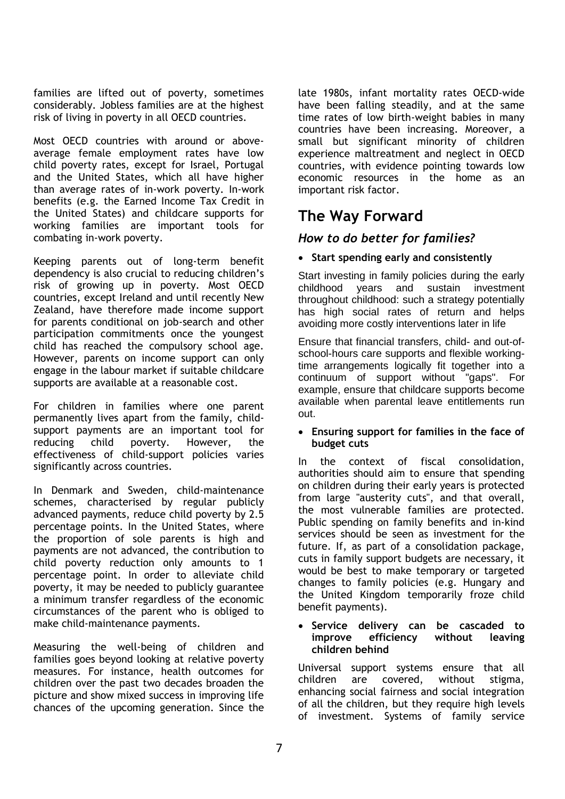families are lifted out of poverty, sometimes considerably. Jobless families are at the highest risk of living in poverty in all OECD countries.

Most OECD countries with around or aboveaverage female employment rates have low child poverty rates, except for Israel, Portugal and the United States, which all have higher than average rates of in-work poverty. In-work benefits (e.g. the Earned Income Tax Credit in the United States) and childcare supports for working families are important tools for combating in-work poverty.

Keeping parents out of long-term benefit dependency is also crucial to reducing children's risk of growing up in poverty. Most OECD countries, except Ireland and until recently New Zealand, have therefore made income support for parents conditional on job-search and other participation commitments once the youngest child has reached the compulsory school age. However, parents on income support can only engage in the labour market if suitable childcare supports are available at a reasonable cost.

For children in families where one parent permanently lives apart from the family, childsupport payments are an important tool for reducing child poverty. However, the effectiveness of child-support policies varies significantly across countries.

In Denmark and Sweden, child-maintenance schemes, characterised by regular publicly advanced payments, reduce child poverty by 2.5 percentage points. In the United States, where the proportion of sole parents is high and payments are not advanced, the contribution to child poverty reduction only amounts to 1 percentage point. In order to alleviate child poverty, it may be needed to publicly guarantee a minimum transfer regardless of the economic circumstances of the parent who is obliged to make child-maintenance payments.

Measuring the well-being of children and families goes beyond looking at relative poverty measures. For instance, health outcomes for children over the past two decades broaden the picture and show mixed success in improving life chances of the upcoming generation. Since the late 1980s, infant mortality rates OECD-wide have been falling steadily, and at the same time rates of low birth-weight babies in many countries have been increasing. Moreover, a small but significant minority of children experience maltreatment and neglect in OECD countries, with evidence pointing towards low economic resources in the home as an important risk factor.

# **The Way Forward**

## *How to do better for families?*

### **Start spending early and consistently**

Start investing in family policies during the early childhood years and sustain investment throughout childhood: such a strategy potentially has high social rates of return and helps avoiding more costly interventions later in life

Ensure that financial transfers, child- and out-ofschool-hours care supports and flexible workingtime arrangements logically fit together into a continuum of support without "gaps". For example, ensure that childcare supports become available when parental leave entitlements run out.

### **Ensuring support for families in the face of budget cuts**

In the context of fiscal consolidation, authorities should aim to ensure that spending on children during their early years is protected from large "austerity cuts", and that overall, the most vulnerable families are protected. Public spending on family benefits and in-kind services should be seen as investment for the future. If, as part of a consolidation package, cuts in family support budgets are necessary, it would be best to make temporary or targeted changes to family policies (e.g. Hungary and the United Kingdom temporarily froze child benefit payments).

### **Service delivery can be cascaded to improve efficiency without leaving children behind**

Universal support systems ensure that all children are covered, without stigma, enhancing social fairness and social integration of all the children, but they require high levels of investment. Systems of family service